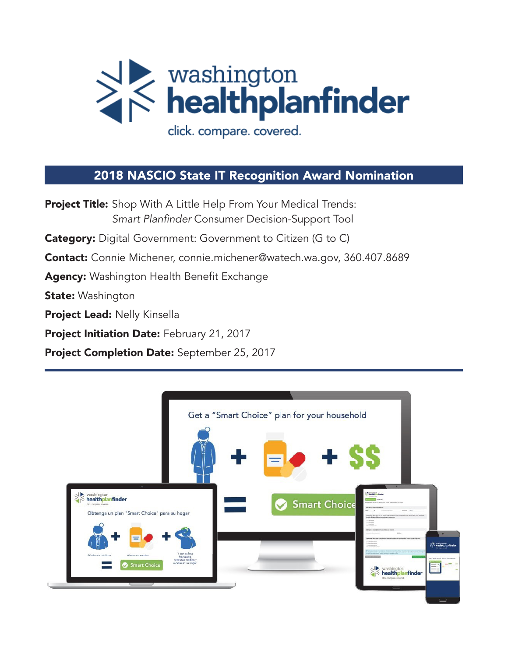

### 2018 NASCIO State IT Recognition Award Nomination

Project Title: Shop With A Little Help From Your Medical Trends: Smart Planfinder Consumer Decision-Support Tool **Category:** Digital Government: Government to Citizen (G to C) Contact: Connie Michener, connie.michener@watech.wa.gov, 360.407.8689 Agency: Washington Health Benefit Exchange **State: Washington** Project Lead: Nelly Kinsella Project Initiation Date: February 21, 2017 Project Completion Date: September 25, 2017

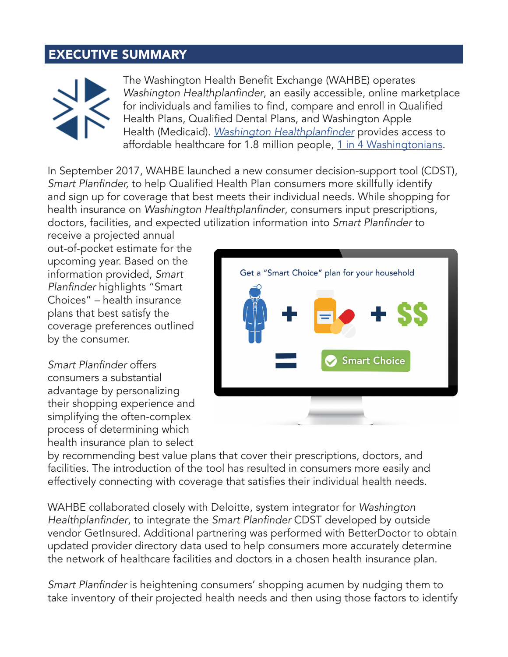## EXECUTIVE SUMMARY



The Washington Health Benefit Exchange (WAHBE) operates Washington Healthplanfinder, an easily accessible, online marketplace for individuals and families to find, compare and enroll in Qualified Health Plans, Qualified Dental Plans, and Washington Apple Health (Medicaid). *Washington* Healthplanfinder provides access to affordable healthcare for 1.8 million people, 1 in 4 Washingtonians.

In September 2017, WAHBE launched a new consumer decision-support tool (CDST), Smart Planfinder, to help Qualified Health Plan consumers more skillfully identify and sign up for coverage that best meets their individual needs. While shopping for health insurance on Washington Healthplanfinder, consumers input prescriptions, doctors, facilities, and expected utilization information into Smart Planfinder to

receive a projected annual out-of-pocket estimate for the upcoming year. Based on the information provided, *Smart*  Planfinder highlights "Smart Choices" – health insurance plans that best satisfy the coverage preferences outlined by the consumer.

Smart Planfinder offers consumers a substantial advantage by personalizing their shopping experience and simplifying the often-complex process of determining which health insurance plan to select



by recommending best value plans that cover their prescriptions, doctors, and facilities. The introduction of the tool has resulted in consumers more easily and effectively connecting with coverage that satisfies their individual health needs.

WAHBE collaborated closely with Deloitte, system integrator for *Washington*  Healthplanfinder, to integrate the Smart Planfinder CDST developed by outside vendor GetInsured. Additional partnering was performed with BetterDoctor to obtain updated provider directory data used to help consumers more accurately determine the network of healthcare facilities and doctors in a chosen health insurance plan.

Smart Planfinder is heightening consumers' shopping acumen by nudging them to take inventory of their projected health needs and then using those factors to identify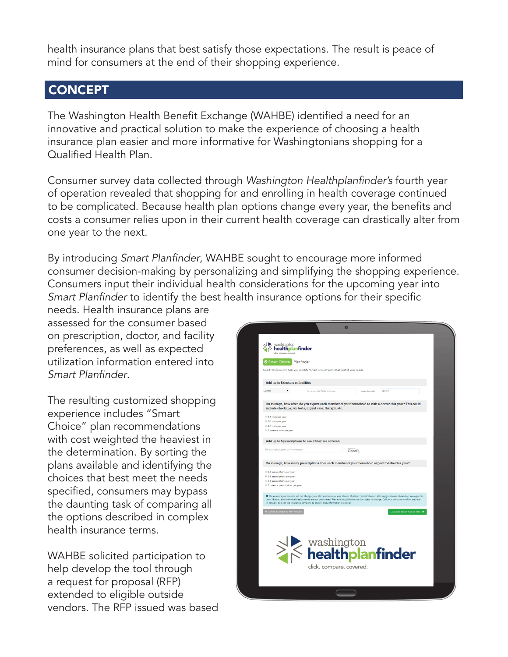health insurance plans that best satisfy those expectations. The result is peace of mind for consumers at the end of their shopping experience.

### **CONCEPT**

The Washington Health Benefit Exchange (WAHBE) identified a need for an innovative and practical solution to make the experience of choosing a health insurance plan easier and more informative for Washingtonians shopping for a Qualified Health Plan.

Consumer survey data collected through Washington Healthplanfinder's fourth year of operation revealed that shopping for and enrolling in health coverage continued to be complicated. Because health plan options change every year, the benefits and costs a consumer relies upon in their current health coverage can drastically alter from one year to the next.

By introducing Smart Planfinder, WAHBE sought to encourage more informed consumer decision-making by personalizing and simplifying the shopping experience. Consumers input their individual health considerations for the upcoming year into Smart Planfinder to identify the best health insurance options for their specific

needs. Health insurance plans are assessed for the consumer based on prescription, doctor, and facility preferences, as well as expected utilization information entered into Smart Planfinder.

The resulting customized shopping experience includes "Smart Choice" plan recommendations with cost weighted the heaviest in the determination. By sorting the plans available and identifying the choices that best meet the needs specified, consumers may bypass the daunting task of comparing all the options described in complex health insurance terms.

WAHBE solicited participation to help develop the tool through a request for proposal (RFP) extended to eligible outside vendors. The RFP issued was based

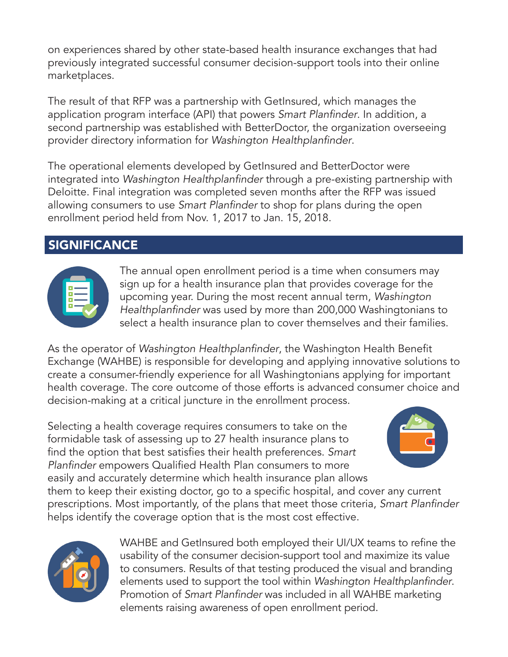on experiences shared by other state-based health insurance exchanges that had previously integrated successful consumer decision-support tools into their online marketplaces.

The result of that RFP was a partnership with GetInsured, which manages the application program interface (API) that powers Smart Planfinder. In addition, a second partnership was established with BetterDoctor, the organization overseeing provider directory information for Washington Healthplanfinder.

The operational elements developed by GetInsured and BetterDoctor were integrated into Washington Healthplanfinder through a pre-existing partnership with Deloitte. Final integration was completed seven months after the RFP was issued allowing consumers to use Smart Planfinder to shop for plans during the open enrollment period held from Nov. 1, 2017 to Jan. 15, 2018.

# **SIGNIFICANCE**



The annual open enrollment period is a time when consumers may sign up for a health insurance plan that provides coverage for the upcoming year. During the most recent annual term, *Washington*  Healthplanfinder was used by more than 200,000 Washingtonians to select a health insurance plan to cover themselves and their families.

As the operator of Washington Healthplanfinder, the Washington Health Benefit Exchange (WAHBE) is responsible for developing and applying innovative solutions to create a consumer-friendly experience for all Washingtonians applying for important health coverage. The core outcome of those efforts is advanced consumer choice and decision-making at a critical juncture in the enrollment process.

Selecting a health coverage requires consumers to take on the formidable task of assessing up to 27 health insurance plans to find the option that best satisfies their health preferences. *Smart*  Planfinder empowers Qualified Health Plan consumers to more easily and accurately determine which health insurance plan allows



them to keep their existing doctor, go to a specific hospital, and cover any current prescriptions. Most importantly, of the plans that meet those criteria, Smart Planfinder helps identify the coverage option that is the most cost effective.



WAHBE and GetInsured both employed their UI/UX teams to refine the usability of the consumer decision-support tool and maximize its value to consumers. Results of that testing produced the visual and branding elements used to support the tool within Washington Healthplanfinder. Promotion of Smart Planfinder was included in all WAHBE marketing elements raising awareness of open enrollment period.